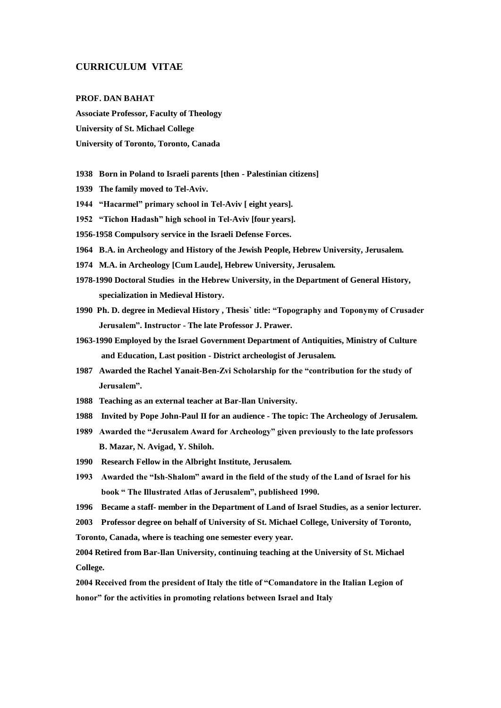## **CURRICULUM VITAE**

#### **PROF. DAN BAHAT**

**Associate Professor, Faculty of Theology University of St. Michael College University of Toronto, Toronto, Canada**

- **1938 Born in Poland to Israeli parents [then - Palestinian citizens]**
- **1939 The family moved to Tel-Aviv.**
- **1944 "Hacarmel" primary school in Tel-Aviv [ eight years].**
- **1952 "Tichon Hadash" high school in Tel-Aviv [four years].**
- **1956-1958 Compulsory service in the Israeli Defense Forces.**
- **1964 B.A. in Archeology and History of the Jewish People, Hebrew University, Jerusalem.**
- **1974 M.A. in Archeology [Cum Laude], Hebrew University, Jerusalem.**
- **1978-1990 Doctoral Studies in the Hebrew University, in the Department of General History, specialization in Medieval History.**
- **1990 Ph. D. degree in Medieval History , Thesis` title: "Topography and Toponymy of Crusader Jerusalem". Instructor - The late Professor J. Prawer.**
- **1963-1990 Employed by the Israel Government Department of Antiquities, Ministry of Culture and Education, Last position - District archeologist of Jerusalem.**
- **1987 Awarded the Rachel Yanait-Ben-Zvi Scholarship for the "contribution for the study of Jerusalem".**
- **1988 Teaching as an external teacher at Bar-Ilan University.**
- **1988 Invited by Pope John-Paul II for an audience - The topic: The Archeology of Jerusalem.**
- **1989 Awarded the "Jerusalem Award for Archeology" given previously to the late professors B. Mazar, N. Avigad, Y. Shiloh.**
- **1990 Research Fellow in the Albright Institute, Jerusalem.**
- **1993 Awarded the "Ish-Shalom" award in the field of the study of the Land of Israel for his book " The Illustrated Atlas of Jerusalem", publisheed 1990.**
- **1996 Became a staff- member in the Department of Land of Israel Studies, as a senior lecturer.**
- **2003 Professor degree on behalf of University of St. Michael College, University of Toronto,**

**Toronto, Canada, where is teaching one semester every year.** 

**2004 Retired from Bar-Ilan University, continuing teaching at the University of St. Michael College.** 

**2004 Received from the president of Italy the title of "Comandatore in the Italian Legion of honor" for the activities in promoting relations between Israel and Italy**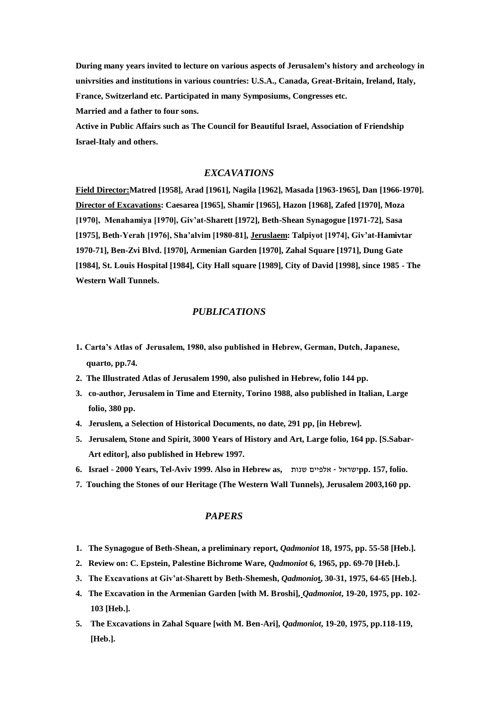**During many years invited to lecture on various aspects of Jerusalem"s history and archeology in univrsities and institutions in various countries: U.S.A., Canada, Great-Britain, Ireland, Italy, France, Switzerland etc. Participated in many Symposiums, Congresses etc. Married and a father to four sons.**

**Active in Public Affairs such as The Council for Beautiful Israel, Association of Friendship Israel-Italy and others.** 

# *EXCAVATIONS*

**Field Director:Matred [1958], Arad [1961], Nagila [1962], Masada [1963-1965], Dan [1966-1970]. Director of Excavations: Caesarea [1965], Shamir [1965], Hazon [1968], Zafed [1970], Moza [1970], Menahamiya [1970], Giv"at-Sharett [1972], Beth-Shean Synagogue [1971-72], Sasa [1975], Beth-Yerah [1976], Sha"alvim [1980-81], Jeruslaem: Talpiyot [1974], Giv"at-Hamivtar 1970-71], Ben-Zvi Blvd. [1970], Armenian Garden [1970], Zahal Square [1971], Dung Gate [1984], St. Louis Hospital [1984], City Hall square [1989], City of David [1998], since 1985 - The Western Wall Tunnels.**

# *PUBLICATIONS*

- **1. Carta"s Atlas of Jerusalem, 1980, also published in Hebrew, German, Dutch, Japanese, quarto, pp.74.**
- **2. The Illustrated Atlas of Jerusalem 1990, also pulished in Hebrew, folio 144 pp.**
- **3. co-author, Jerusalem in Time and Eternity, Torino 1988, also published in Italian, Large folio, 380 pp.**
- **4. Jeruslem, a Selection of Historical Documents, no date, 291 pp, [in Hebrew].**
- **5. Jerusalem, Stone and Spirit, 3000 Years of History and Art, Large folio, 164 pp. [S.Sabar- Art editor], also published in Hebrew 1997.**
- **6. Israel - 2000 Years, Tel-Aviv 1999. Also in Hebrew as,** שנות אלפיים ישראל**pp. 157, folio.**
- **7. Touching the Stones of our Heritage (The Western Wall Tunnels), Jerusalem 2003,160 pp.**

## *PAPERS*

- **1. The Synagogue of Beth-Shean, a preliminary report,** *Qadmoniot* **18, 1975, pp. 55-58 [Heb.].**
- **2. Review on: C. Epstein, Palestine Bichrome Ware,** *Qadmoniot* **6, 1965, pp. 69-70 [Heb.].**
- **3. The Excavations at Giv"at-Sharett by Beth-Shemesh,** *Qadmonio***t, 30-31, 1975, 64-65 [Heb.].**
- **4. The Excavation in the Armenian Garden [with M. Broshi],** *Qadmoniot***, 19-20, 1975, pp. 102- 103 [Heb.].**
- **5. The Excavations in Zahal Square [with M. Ben-Ari],** *Qadmoniot***, 19-20, 1975, pp.118-119, [Heb.].**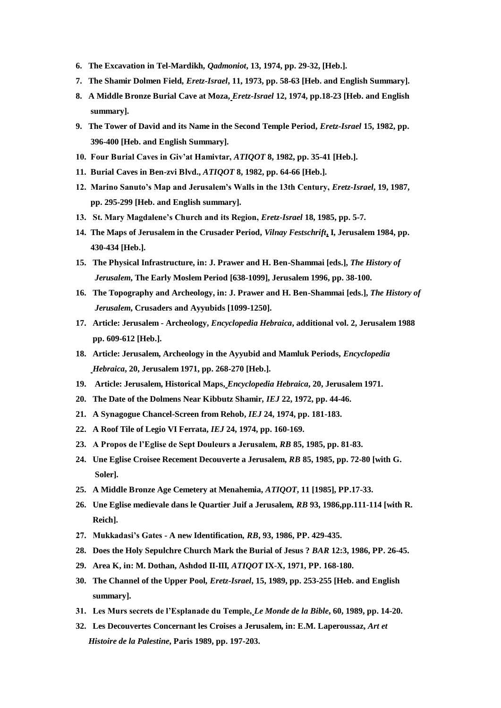- **6. The Excavation in Tel-Mardikh***, Qadmoniot***, 13, 1974, pp. 29-32, [Heb.].**
- **7. The Shamir Dolmen Field***, Eretz-Israel***, 11, 1973, pp. 58-63 [Heb. and English Summary].**
- **8. A Middle Bronze Burial Cave at Moza,** *Eretz-Israel* **12, 1974, pp.18-23 [Heb. and English summary].**
- **9. The Tower of David and its Name in the Second Temple Period,** *Eretz-Israel* **15, 1982, pp. 396-400 [Heb. and English Summary].**
- **10. Four Burial Caves in Giv"at Hamivtar,** *ATIQOT* **8, 1982, pp. 35-41 [Heb.].**
- **11. Burial Caves in Ben-zvi Blvd.,** *ATIQOT* **8, 1982, pp. 64-66 [Heb.].**
- **12. Marino Sanuto"s Map and Jerusalem"s Walls in the 13th Century,** *Eretz-Israel***, 19, 1987, pp. 295-299 [Heb. and English summary].**
- **13. St. Mary Magdalene"s Church and its Region,** *Eretz-Israel* **18, 1985, pp. 5-7.**
- **14. The Maps of Jerusalem in the Crusader Period,** *Vilnay Festschrift***, I, Jerusalem 1984, pp. 430-434 [Heb.].**
- **15. The Physical Infrastructure, in: J. Prawer and H. Ben-Shammai [eds.],** *The History of* *Jerusalem***, The Early Moslem Period [638-1099], Jerusalem 1996, pp. 38-100.**
- **16. The Topography and Archeology, in: J. Prawer and H. Ben-Shammai [eds.],** *The History of Jerusalem***, Crusaders and Ayyubids [1099-1250].**
- **17. Article: Jerusalem - Archeology,** *Encyclopedia Hebraica***, additional vol. 2, Jerusalem 1988 pp. 609-612 [Heb.].**
- **18. Article: Jerusalem, Archeology in the Ayyubid and Mamluk Periods,** *Encyclopedia* *Hebraica***, 20, Jerusalem 1971, pp. 268-270 [Heb.].**
- **19. Article: Jerusalem, Historical Maps,** *Encyclopedia Hebraica***, 20, Jerusalem 1971.**
- **20. The Date of the Dolmens Near Kibbutz Shamir***, IEJ* **22, 1972, pp. 44-46.**
- **21. A Synagogue Chancel-Screen from Rehob,** *IEJ* **24, 1974, pp. 181-183.**
- **22. A Roof Tile of Legio VI Ferrata,** *IEJ* **24, 1974, pp. 160-169.**
- **23. A Propos de l"Eglise de Sept Douleurs a Jerusalem,** *RB* **85, 1985, pp. 81-83.**
- **24. Une Eglise Croisee Recement Decouverte a Jerusalem,** *RB* **85, 1985, pp. 72-80 [with G. Soler].**
- **25. A Middle Bronze Age Cemetery at Menahemia,** *ATIQOT***, 11 [1985], PP.17-33.**
- **26. Une Eglise medievale dans le Quartier Juif a Jerusalem***, RB* **93, 1986,pp.111-114 [with R. Reich].**
- **27. Mukkadasi"s Gates - A new Identification***, RB***, 93, 1986, PP. 429-435.**
- **28. Does the Holy Sepulchre Church Mark the Burial of Jesus ?** *BAR* **12:3, 1986, PP. 26-45.**
- **29. Area K, in: M. Dothan, Ashdod II-III***, ATIQOT* **IX-X, 1971, PP. 168-180.**
- **30. The Channel of the Upper Pool***, Eretz-Israel***, 15, 1989, pp. 253-255 [Heb. and English summary].**
- **31. Les Murs secrets de l"Esplanade du Temple,** *Le Monde de la Bible***, 60, 1989, pp. 14-20.**
- **32. Les Decouvertes Concernant les Croises a Jerusalem, in: E.M. Laperoussaz,** *Art et*  *Histoire de la Palestine***, Paris 1989, pp. 197-203.**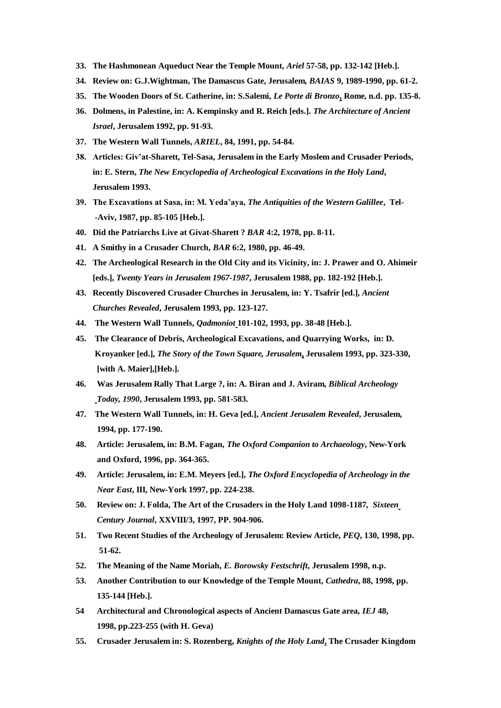- **33. The Hashmonean Aqueduct Near the Temple Mount***, Ariel* **57-58, pp. 132-142 [Heb.].**
- **34. Review on: G.J.Wightman, The Damascus Gate, Jerusalem***, BAIAS* **9, 1989-1990, pp. 61-2.**
- **35. The Wooden Doors of St. Catherine, in: S.Salemi,** *Le Porte di Bronzo***, Rome, n.d. pp. 135-8.**
- **36. Dolmens, in Palestine, in: A. Kempinsky and R. Reich [eds.].** *The Architecture of Ancient Israel***, Jerusalem 1992, pp. 91-93.**
- **37. The Western Wall Tunnels,** *ARIEL***, 84, 1991, pp. 54-84.**
- **38. Articles: Giv"at-Sharett, Tel-Sasa, Jerusalem in the Early Moslem and Crusader Periods, in: E. Stern,** *The New Encyclopedia of Archeological Excavations in the Holy Land***, Jerusalem 1993.**
- **39. The Excavations at Sasa, in: M. Yeda"aya,** *The Antiquities of the Western Galillee***, Tel- -Aviv, 1987, pp. 85-105 [Heb.].**
- **40. Did the Patriarchs Live at Givat-Sharett ?** *BAR* **4:2, 1978, pp. 8-11.**
- **41. A Smithy in a Crusader Church,** *BAR* **6:2, 1980, pp. 46-49.**
- **42. The Archeological Research in the Old City and its Vicinity, in: J. Prawer and O. Ahimeir [eds.],** *Twenty Years in Jerusalem 1967-1987***, Jerusalem 1988, pp. 182-192 [Heb.].**
- **43. Recently Discovered Crusader Churches in Jerusalem, in: Y. Tsafrir [ed.],** *Ancient Churches Revealed***, Jerusalem 1993, pp. 123-127.**
- **44. The Western Wall Tunnels,** *Qadmoniot* **101-102, 1993, pp. 38-48 [Heb.].**
- **45. The Clearance of Debris, Archeological Excavations, and Quarrying Works, in: D. Kroyanker [ed.],** *The Story of the Town Square, Jerusalem***, Jerusalem 1993, pp. 323-330, [with A. Maier],[Heb.].**
- **46. Was Jerusalem Rally That Large ?, in: A. Biran and J. Aviram,** *Biblical Archeology* *Today, 1990***, Jerusalem 1993, pp. 581-583.**
- **47. The Western Wall Tunnels, in: H. Geva [ed.],** *Ancient Jerusalem Revealed***, Jerusalem, 1994, pp. 177-190.**
- **48. Article: Jerusalem, in: B.M. Fagan***, The Oxford Companion to Archaeology***, New-York and Oxford, 1996, pp. 364-365.**
- **49. Article: Jerusalem, in: E.M. Meyers [ed.],** *The Oxford Encyclopedia of Archeology in the* *Near East***, III, New-York 1997, pp. 224-238.**
- **50. Review on: J. Folda, The Art of the Crusaders in the Holy Land 1098-1187***, Sixteen* *Century Journal***, XXVIII/3, 1997, PP. 904-906.**
- **51. Two Recent Studies of the Archeology of Jerusalem: Review Article,** *PEQ***, 130, 1998, pp. 51-62.**
- **52. The Meaning of the Name Moriah,** *E. Borowsky Festschrift***, Jerusalem 1998, n.p.**
- **53. Another Contribution to our Knowledge of the Temple Mount,** *Cathedra***, 88, 1998, pp. 135-144 [Heb.].**
- **54 Architectural and Chronological aspects of Ancient Damascus Gate area,** *IEJ* **48, 1998, pp.223-255 (with H. Geva)**
- **55. Crusader Jerusalem in: S. Rozenberg,** *Knights of the Holy Land***, The Crusader Kingdom**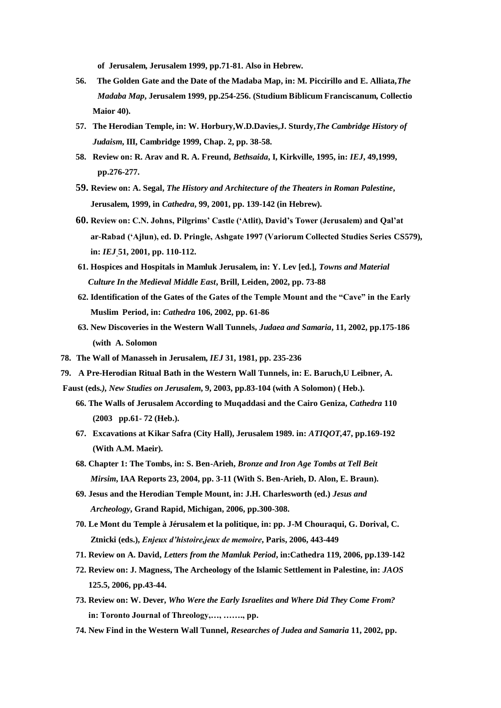**of Jerusalem, Jerusalem 1999, pp.71-81. Also in Hebrew.** 

- **56. The Golden Gate and the Date of the Madaba Map, in: M. Piccirillo and E. Alliata,***The Madaba Map***, Jerusalem 1999, pp.254-256. (Studium Biblicum Franciscanum, Collectio Maior 40).**
- **57. The Herodian Temple, in: W. Horbury,W.D.Davies,J. Sturdy,***The Cambridge History of Judaism***, III, Cambridge 1999, Chap. 2, pp. 38-58.**
- **58. Review on: R. Arav and R. A. Freund,** *Bethsaida***, I, Kirkville, 1995, in:** *IEJ***, 49,1999,**  **pp.276-277.**
- **59. Review on: A. Segal,** *The History and Architecture of the Theaters in Roman Palestine***, Jerusalem, 1999, in** *Cathedra***, 99, 2001, pp. 139-142 (in Hebrew).**
- **60. Review on: C.N. Johns, Pilgrims" Castle ("Atlit), David"s Tower (Jerusalem) and Qal"at ar-Rabad ("Ajlun), ed. D. Pringle, Ashgate 1997 (Variorum Collected Studies Series CS579), in:** *IEJ* **51, 2001, pp. 110-112.**
- **61. Hospices and Hospitals in Mamluk Jerusalem, in: Y. Lev [ed.],** *Towns and Material*  *Culture In the Medieval Middle East***, Brill, Leiden, 2002, pp. 73-88**
- **62. Identification of the Gates of the Gates of the Temple Mount and the "Cave" in the Early Muslim Period, in:** *Cathedra* **106, 2002, pp. 61-86**
- **63. New Discoveries in the Western Wall Tunnels,** *Judaea and Samaria***, 11, 2002, pp.175-186 (with A. Solomon**
- **78. The Wall of Manasseh in Jerusalem,** *IEJ* **31, 1981, pp. 235-236**
- **79. A Pre-Herodian Ritual Bath in the Western Wall Tunnels, in: E. Baruch,U Leibner, A.**
- **Faust (eds***.), New Studies on Jerusalem***, 9, 2003, pp.83-104 (with A Solomon) ( Heb.).** 
	- **66. The Walls of Jerusalem According to Muqaddasi and the Cairo Geniza,** *Cathedra* **110 (2003 pp.61- 72 (Heb.).**
	- **67. Excavations at Kikar Safra (City Hall), Jerusalem 1989. in:** *ATIQOT,***47, pp.169-192 (With A.M. Maeir).**
	- **68. Chapter 1: The Tombs, in: S. Ben-Arieh,** *Bronze and Iron Age Tombs at Tell Beit Mirsim***, IAA Reports 23, 2004, pp. 3-11 (With S. Ben-Arieh, D. Alon, E. Braun).**
	- **69. Jesus and the Herodian Temple Mount, in: J.H. Charlesworth (ed.)** *Jesus and*  *Archeology***, Grand Rapid, Michigan, 2006, pp.300-308.**
	- **70. Le Mont du Temple à Jérusalem et la politique, in: pp. J-M Chouraqui, G. Dorival, C. Ztnicki (eds.),** *Enjeux d'histoire,jeux de memoire***, Paris, 2006, 443-449**
	- **71. Review on A. David,** *Letters from the Mamluk Period***, in:Cathedra 119, 2006, pp.139-142**
	- **72. Review on: J. Magness, The Archeology of the Islamic Settlement in Palestine, in:** *JAOS*  **125.5, 2006, pp.43-44.**
	- **73. Review on: W. Dever,** *Who Were the Early Israelites and Where Did They Come From?*  **in: Toronto Journal of Threology,…, ……., pp.**
	- **74. New Find in the Western Wall Tunnel,** *Researches of Judea and Samaria* **11, 2002, pp.**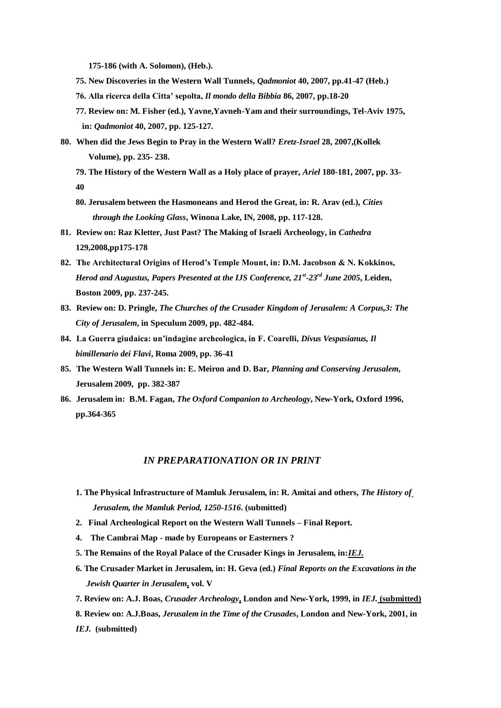**175-186 (with A. Solomon), (Heb.).**

- **75. New Discoveries in the Western Wall Tunnels,** *Qadmoniot* **40, 2007, pp.41-47 (Heb.)**
- **76. Alla ricerca della Citta" sepolta,** *Il mondo della Bibbia* **86, 2007, pp.18-20**
- **77. Review on: M. Fisher (ed.), Yavne,Yavneh-Yam and their surroundings, Tel-Aviv 1975, in:** *Qadmoniot* **40, 2007, pp. 125-127.**
- **80. When did the Jews Begin to Pray in the Western Wall?** *Eretz-Israel* **28, 2007,(Kollek Volume), pp. 235- 238.**
	- **79. The History of the Western Wall as a Holy place of prayer,** *Ariel* **180-181, 2007, pp. 33- 40**
	- **80. Jerusalem between the Hasmoneans and Herod the Great, in: R. Arav (ed.),** *Cities* *through the Looking Glass***, Winona Lake, IN, 2008, pp. 117-128.**
- **81. Review on: Raz Kletter, Just Past? The Making of Israeli Archeology, in** *Cathedra*  **129,2008,pp175-178**
- **82. The Architectural Origins of Herod"s Temple Mount, in: D.M. Jacobson & N. Kokkinos,**  *Herod and Augustus, Papers Presented at the IJS Conference, 21st -23rd June 2005***, Leiden, Boston 2009, pp. 237-245.**
- **83. Review on: D. Pringle,** *The Churches of the Crusader Kingdom of Jerusalem: A Corpus,3: The City of Jerusalem***, in Speculum 2009, pp. 482-484.**
- **84. La Guerra giudaica: un"indagine archeologica, in F. Coarelli,** *Divus Vespasianus, Il bimillenario dei Flavi***, Roma 2009, pp. 36-41**
- **85. The Western Wall Tunnels in: E. Meiron and D. Bar,** *Planning and Conserving Jerusalem***, Jerusalem 2009, pp. 382-387**
- **86. Jerusalem in: B.M. Fagan,** *The Oxford Companion to Archeology***, New-York, Oxford 1996, pp.364-365**

## *IN PREPARATIONATION OR IN PRINT*

- **1. The Physical Infrastructure of Mamluk Jerusalem, in: R. Amitai and others,** *The History of* *Jerusalem, the Mamluk Period, 1250-1516***. (submitted)**
- **2. Final Archeological Report on the Western Wall Tunnels – Final Report.**
- **4. The Cambrai Map - made by Europeans or Easterners ?**
- **5. The Remains of the Royal Palace of the Crusader Kings in Jerusalem, in:***IEJ.*
- **6. The Crusader Market in Jerusalem, in: H. Geva (ed.)** *Final Reports on the Excavations in the Jewish Quarter in Jerusalem***, vol. V**
- **7. Review on: A.J. Boas,** *Crusader Archeology***, London and New-York, 1999, in** *IEJ.* **(submitted)**
- **8. Review on: A.J.Boas,** *Jerusalem in the Time of the Crusades***, London and New-York, 2001, in** *IEJ.* **(submitted)**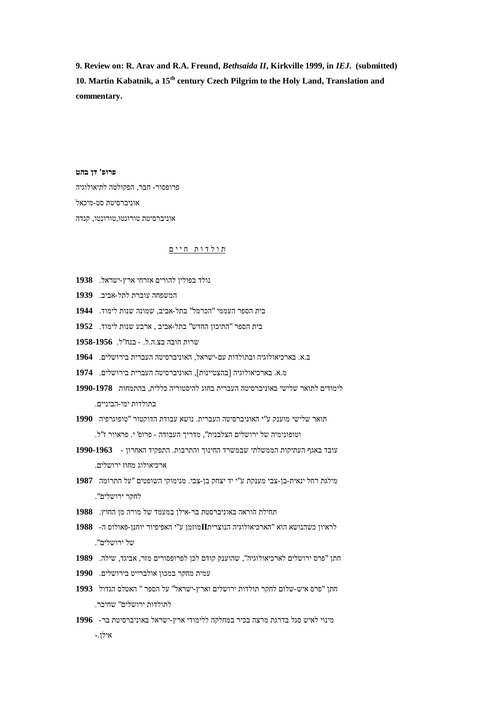**9. Review on: R. Arav and R.A. Freund,** *Bethsaida II***, Kirkville 1999, in** *IEJ***. (submitted) 10. Martin Kabatnik, a 15th century Czech Pilgrim to the Holy Land, Translation and commentary.**

**פרופ' דן בהט** פרופסור- חבר, הפקולטה לתיאולוגיה אוניברסיטת סט-מיכאל אוניברסיטת טורונטו,טורונטו, קנדה

## <u>תולדות חיים</u>

- נולד בפולין להורים אזרחי ארץ-ישראל. **1938**
- המשפחה עוברת לתל-אביב. **1939**

של ירושלים".

אילן**-**.

עמית מחקר במכון אולברייט בירושלים. **1990**

לתולדות ירושלים" שחיבר.

- בית הספר העממי "הכרמל" בתל-אביב, שמונה שנות לימוד. **1944**
- בית הספר "התיכון החדש" בתל-אביב , ארבע שנות לימוד. **1952**
- שרות חובה בצ.ה.ל. בנח"ל. **1958-1956**
- ב.א. בארכיאולוגיה ובתולדות עם-ישראל, האוניברסיטה העברית בירושלים. **1964**
- מ.א. בארכיאולוגיה ]בהצטיינות[, האוניברסיטה העברית בירושלים. **1974**

תחילת הוראה באוניברסטת בר-אילן במעמד של מורה מן החוץ. **1988**

- לימודים לתואר שלישי באוניברסיטה העברית בחוג להיסטוריה כללית, בהתמחות **1990-1978** בתולדות ימי-הביניים.
- תואר שלישי מוענק ע"י האוניברסיטה העברית. נושא עבודת הדוקטור "טופוגרפיה **1990** וטופונימיה של ירושלים הצלבנית", מדריך העבודה - פרופ' י. פראוור ז"ל.
- עובד באגף העתיקות הממשלתי שבמשרד החינוך והתרבות. התפקיד האחרון - **1990-1963**
- 
- לחקר ירושלים".

לראיון כשהנושא הוא "הארכיאולוגיה הנוצרית**II**מוזמן ע"י האפיפיור יוחנן-פאולוס ה- **1988**

חתן "פרס ירושלים לארכיאולוגיה", שהוענק קודם לכן לפרופסורים מזר, אביגד, שילה. **1989**

חתן "פרס איש-שלום לחקר תולדות ירושלים וארץ-ישראל" על הספר " האטלס הגדול **1993**

מינוי לאיש סגל בדרגת מרצה בכיר במחלקה ללימודי ארץ-ישראל באוניברסיטת בר- **1996**

- מילגת רחל ינאית-בן-צבי מענקת ע"י יד יצחק בן-צבי. מנימוקי השופטים "על התרומה **1987**
- 
- 
- 
- 
- 
- 
- 
- ארכיאולוג מחוז ירושלים.
-